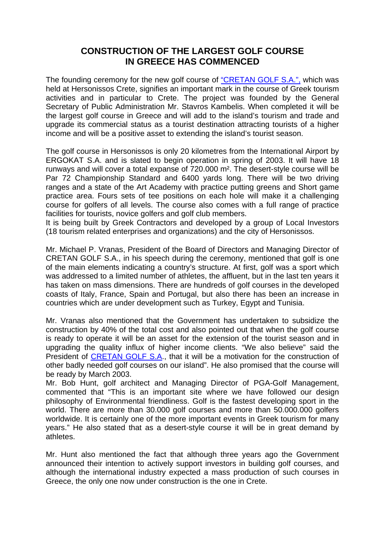## **CONSTRUCTION OF THE LARGEST GOLF COURSE IN GREECE HAS COMMENCED**

The founding ceremony for the new golf course of ["CRETAN GOLF S.A.",](http://www.crete-golf.com/) which was held at Hersonissos Crete, signifies an important mark in the course of Greek tourism activities and in particular to Crete. The project was founded by the General Secretary of Public Administration Mr. Stavros Kambelis. When completed it will be the largest golf course in Greece and will add to the island's tourism and trade and upgrade its commercial status as a tourist destination attracting tourists of a higher income and will be a positive asset to extending the island's tourist season.

The golf course in Hersonissos is only 20 kilometres from the International Airport by ERGOKAT S.A. and is slated to begin operation in spring of 2003. It will have 18 runways and will cover a total expanse of 720.000 m². The desert-style course will be Par 72 Championship Standard and 6400 yards long. There will be two driving ranges and a state of the Art Academy with practice putting greens and Short game practice area. Fours sets of tee positions on each hole will make it a challenging course for golfers of all levels. The course also comes with a full range of practice facilities for tourists, novice golfers and golf club members.

It is being built by Greek Contractors and developed by a group of Local Investors (18 tourism related enterprises and organizations) and the city of Hersonissos.

Mr. Michael P. Vranas, President of the Board of Directors and Managing Director of CRETAN GOLF S.A., in his speech during the ceremony, mentioned that golf is one of the main elements indicating a country's structure. At first, golf was a sport which was addressed to a limited number of athletes, the affluent, but in the last ten years it has taken on mass dimensions. There are hundreds of golf courses in the developed coasts of Italy, France, Spain and Portugal, but also there has been an increase in countries which are under development such as Turkey, Egypt and Tunisia.

Mr. Vranas also mentioned that the Government has undertaken to subsidize the construction by 40% of the total cost and also pointed out that when the golf course is ready to operate it will be an asset for the extension of the tourist season and in upgrading the quality influx of higher income clients. "We also believe" said the President of [CRETAN GOLF S.A.](http://www.crete-golf.com/), that it will be a motivation for the construction of other badly needed golf courses on our island". He also promised that the course will be ready by March 2003.

Mr. Bob Hunt, golf architect and Managing Director of PGA-Golf Management, commented that "This is an important site where we have followed our design philosophy of Environmental friendliness. Golf is the fastest developing sport in the world. There are more than 30.000 golf courses and more than 50.000.000 golfers worldwide. It is certainly one of the more important events in Greek tourism for many years." He also stated that as a desert-style course it will be in great demand by athletes.

Mr. Hunt also mentioned the fact that although three years ago the Government announced their intention to actively support investors in building golf courses, and although the international industry expected a mass production of such courses in Greece, the only one now under construction is the one in Crete.